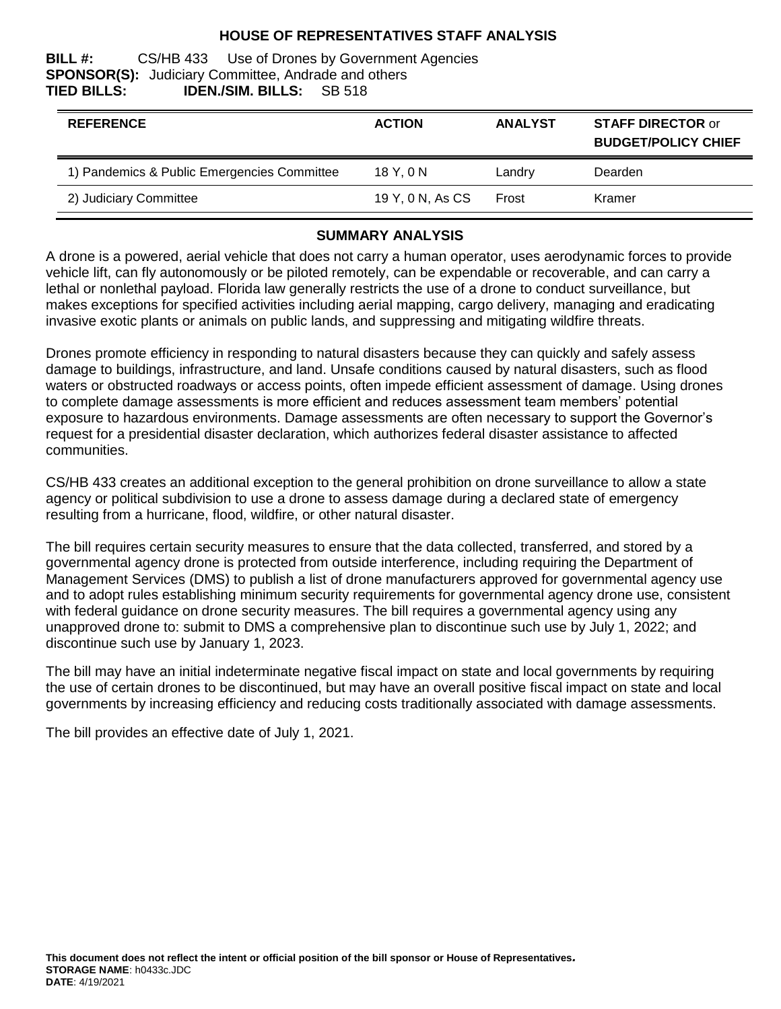#### **HOUSE OF REPRESENTATIVES STAFF ANALYSIS**

#### **BILL #:** CS/HB 433 Use of Drones by Government Agencies **SPONSOR(S):** Judiciary Committee, Andrade and others **TIED BILLS: IDEN./SIM. BILLS:** SB 518

| <b>REFERENCE</b>                            | <b>ACTION</b>    | <b>ANALYST</b> | <b>STAFF DIRECTOR or</b><br><b>BUDGET/POLICY CHIEF</b> |
|---------------------------------------------|------------------|----------------|--------------------------------------------------------|
| 1) Pandemics & Public Emergencies Committee | 18Y.0N           | Landry         | Dearden                                                |
| 2) Judiciary Committee                      | 19 Y, 0 N, As CS | Frost          | Kramer                                                 |

#### **SUMMARY ANALYSIS**

A drone is a powered, aerial vehicle that does not carry a human operator, uses aerodynamic forces to provide vehicle lift, can fly autonomously or be piloted remotely, can be expendable or recoverable, and can carry a lethal or nonlethal payload. Florida law generally restricts the use of a drone to conduct surveillance, but makes exceptions for specified activities including aerial mapping, cargo delivery, managing and eradicating invasive exotic plants or animals on public lands, and suppressing and mitigating wildfire threats.

Drones promote efficiency in responding to natural disasters because they can quickly and safely assess damage to buildings, infrastructure, and land. Unsafe conditions caused by natural disasters, such as flood waters or obstructed roadways or access points, often impede efficient assessment of damage. Using drones to complete damage assessments is more efficient and reduces assessment team members' potential exposure to hazardous environments. Damage assessments are often necessary to support the Governor's request for a presidential disaster declaration, which authorizes federal disaster assistance to affected communities.

CS/HB 433 creates an additional exception to the general prohibition on drone surveillance to allow a state agency or political subdivision to use a drone to assess damage during a declared state of emergency resulting from a hurricane, flood, wildfire, or other natural disaster.

The bill requires certain security measures to ensure that the data collected, transferred, and stored by a governmental agency drone is protected from outside interference, including requiring the Department of Management Services (DMS) to publish a list of drone manufacturers approved for governmental agency use and to adopt rules establishing minimum security requirements for governmental agency drone use, consistent with federal guidance on drone security measures. The bill requires a governmental agency using any unapproved drone to: submit to DMS a comprehensive plan to discontinue such use by July 1, 2022; and discontinue such use by January 1, 2023.

The bill may have an initial indeterminate negative fiscal impact on state and local governments by requiring the use of certain drones to be discontinued, but may have an overall positive fiscal impact on state and local governments by increasing efficiency and reducing costs traditionally associated with damage assessments.

The bill provides an effective date of July 1, 2021.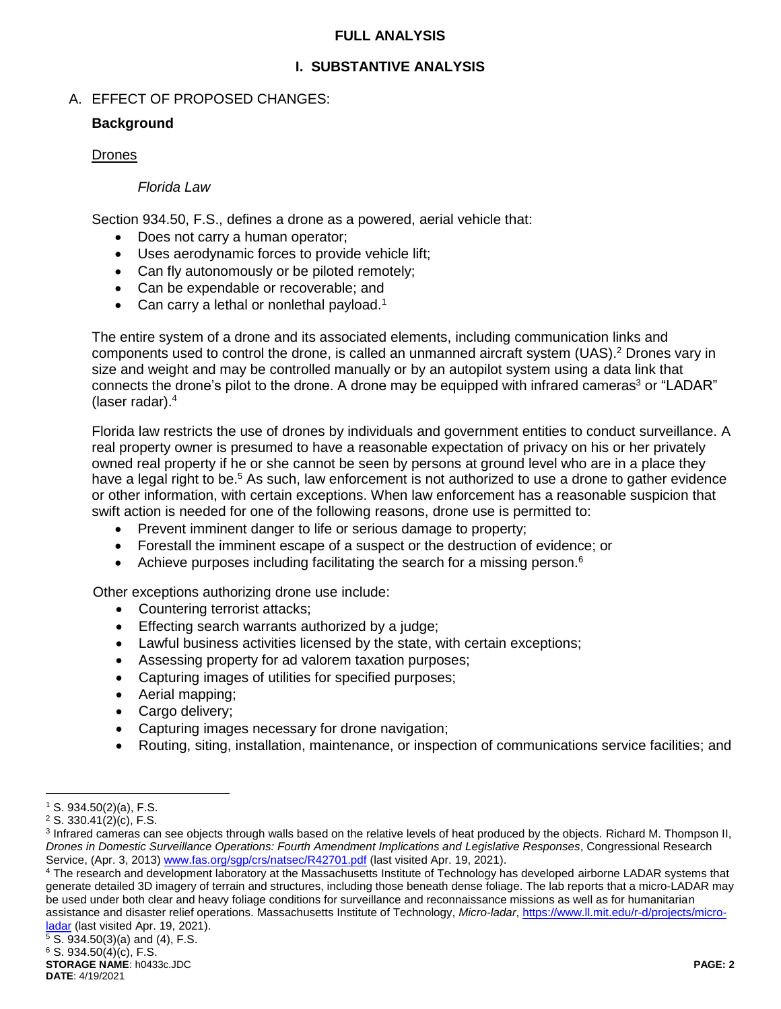#### **FULL ANALYSIS**

### **I. SUBSTANTIVE ANALYSIS**

### A. EFFECT OF PROPOSED CHANGES:

#### **Background**

#### Drones

#### *Florida Law*

Section 934.50, F.S., defines a drone as a powered, aerial vehicle that:

- Does not carry a human operator;
- Uses aerodynamic forces to provide vehicle lift;
- Can fly autonomously or be piloted remotely;
- Can be expendable or recoverable; and
- Can carry a lethal or nonlethal payload.<sup>1</sup>

The entire system of a drone and its associated elements, including communication links and components used to control the drone, is called an unmanned aircraft system (UAS). <sup>2</sup> Drones vary in size and weight and may be controlled manually or by an autopilot system using a data link that connects the drone's pilot to the drone. A drone may be equipped with infrared cameras<sup>3</sup> or "LADAR" (laser radar).<sup>4</sup>

Florida law restricts the use of drones by individuals and government entities to conduct surveillance. A real property owner is presumed to have a reasonable expectation of privacy on his or her privately owned real property if he or she cannot be seen by persons at ground level who are in a place they have a legal right to be.<sup>5</sup> As such, law enforcement is not authorized to use a drone to gather evidence or other information, with certain exceptions. When law enforcement has a reasonable suspicion that swift action is needed for one of the following reasons, drone use is permitted to:

- Prevent imminent danger to life or serious damage to property;
- Forestall the imminent escape of a suspect or the destruction of evidence; or
- Achieve purposes including facilitating the search for a missing person.<sup>6</sup>

Other exceptions authorizing drone use include:

- Countering terrorist attacks;
- Effecting search warrants authorized by a judge;
- Lawful business activities licensed by the state, with certain exceptions;
- Assessing property for ad valorem taxation purposes;
- Capturing images of utilities for specified purposes;
- Aerial mapping;
- Cargo delivery;
- Capturing images necessary for drone navigation;
- Routing, siting, installation, maintenance, or inspection of communications service facilities; and

 $\overline{a}$  $1$  S. 934.50(2)(a), F.S.

<sup>2</sup> S. 330.41(2)(c), F.S.

<sup>&</sup>lt;sup>3</sup> Infrared cameras can see objects through walls based on the relative levels of heat produced by the objects. Richard M. Thompson II, *Drones in Domestic Surveillance Operations: Fourth Amendment Implications and Legislative Responses*, Congressional Research Service, (Apr. 3, 2013) [www.fas.org/sgp/crs/natsec/R42701.pdf](http://www.fas.org/sgp/crs/natsec/R42701.pdf) (last visited Apr. 19, 2021).

<sup>4</sup> The research and development laboratory at the Massachusetts Institute of Technology has developed airborne LADAR systems that generate detailed 3D imagery of terrain and structures, including those beneath dense foliage. The lab reports that a micro-LADAR may be used under both clear and heavy foliage conditions for surveillance and reconnaissance missions as well as for humanitarian assistance and disaster relief operations. Massachusetts Institute of Technology, *Micro-ladar*[, https://www.ll.mit.edu/r-d/projects/micro](https://www.ll.mit.edu/r-d/projects/micro-ladar)[ladar](https://www.ll.mit.edu/r-d/projects/micro-ladar) (last visited Apr. 19, 2021).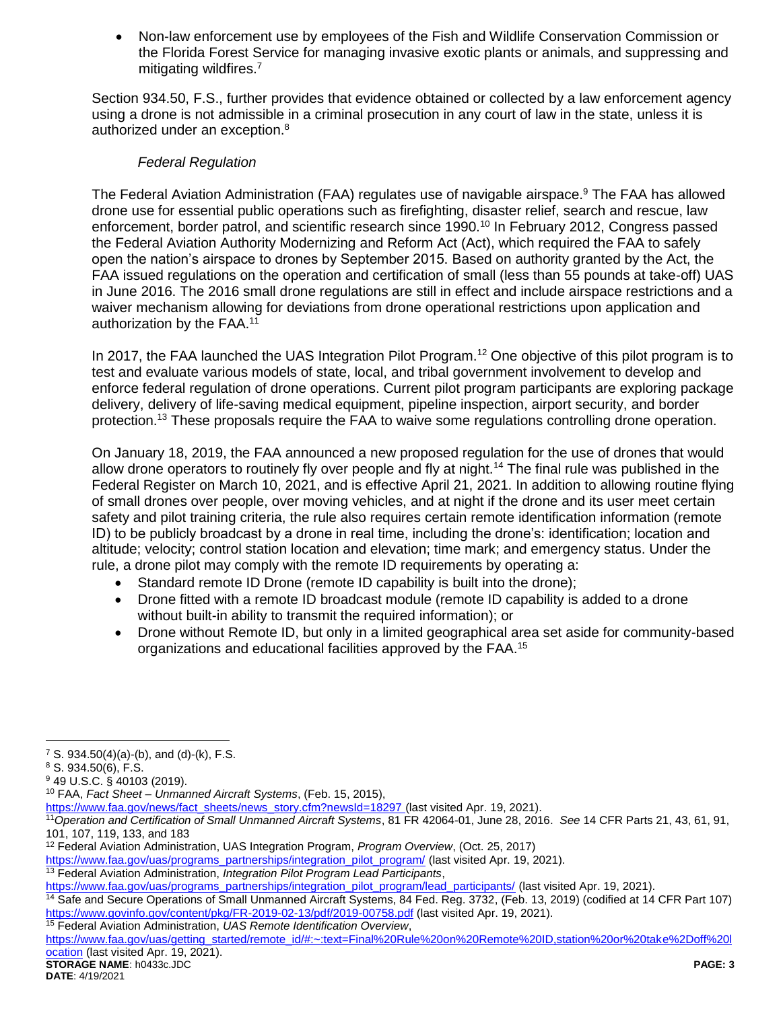Non-law enforcement use by employees of the Fish and Wildlife Conservation Commission or the Florida Forest Service for managing invasive exotic plants or animals, and suppressing and mitigating wildfires.<sup>7</sup>

Section 934.50, F.S., further provides that evidence obtained or collected by a law enforcement agency using a drone is not admissible in a criminal prosecution in any court of law in the state, unless it is authorized under an exception.<sup>8</sup>

### *Federal Regulation*

The Federal Aviation Administration (FAA) regulates use of navigable airspace.<sup>9</sup> The FAA has allowed drone use for essential public operations such as firefighting, disaster relief, search and rescue, law enforcement, border patrol, and scientific research since 1990.<sup>10</sup> In February 2012, Congress passed the Federal Aviation Authority Modernizing and Reform Act (Act), which required the FAA to safely open the nation's airspace to drones by September 2015. Based on authority granted by the Act, the FAA issued regulations on the operation and certification of small (less than 55 pounds at take-off) UAS in June 2016. The 2016 small drone regulations are still in effect and include airspace restrictions and a waiver mechanism allowing for deviations from drone operational restrictions upon application and authorization by the FAA.<sup>11</sup>

In 2017, the FAA launched the UAS Integration Pilot Program.<sup>12</sup> One objective of this pilot program is to test and evaluate various models of state, local, and tribal government involvement to develop and enforce federal regulation of drone operations. Current pilot program participants are exploring package delivery, delivery of life-saving medical equipment, pipeline inspection, airport security, and border protection.<sup>13</sup> These proposals require the FAA to waive some regulations controlling drone operation.

On January 18, 2019, the FAA announced a new proposed regulation for the use of drones that would allow drone operators to routinely fly over people and fly at night.<sup>14</sup> The final rule was published in the Federal Register on March 10, 2021, and is effective April 21, 2021. In addition to allowing routine flying of small drones over people, over moving vehicles, and at night if the drone and its user meet certain safety and pilot training criteria, the rule also requires certain remote identification information (remote ID) to be publicly broadcast by a drone in real time, including the drone's: identification; location and altitude; velocity; control station location and elevation; time mark; and emergency status. Under the rule, a drone pilot may comply with the remote ID requirements by operating a:

- Standard remote ID Drone (remote ID capability is built into the drone);
- Drone fitted with a remote ID broadcast module (remote ID capability is added to a drone without built-in ability to transmit the required information); or
- Drone without Remote ID, but only in a limited geographical area set aside for community-based organizations and educational facilities approved by the FAA.<sup>15</sup>

<sup>12</sup> Federal Aviation Administration, UAS Integration Program, *Program Overview*, (Oct. 25, 2017)

**DATE**: 4/19/2021

 $\overline{a}$ <sup>7</sup> S. 934.50(4)(a)-(b), and (d)-(k), F.S.

<sup>8</sup> S. 934.50(6), F.S.

<sup>9</sup> 49 U.S.C. § 40103 (2019).

<sup>10</sup> FAA, *Fact Sheet – Unmanned Aircraft Systems*, (Feb. 15, 2015),

[https://www.faa.gov/news/fact\\_sheets/news\\_story.cfm?newsId=18297](https://www.faa.gov/news/fact_sheets/news_story.cfm?newsId=18297) (last visited Apr. 19, 2021).

<sup>11</sup>*Operation and Certification of Small Unmanned Aircraft Systems*, 81 FR 42064-01, June 28, 2016. *See* 14 CFR Parts 21, 43, 61, 91, 101, 107, 119, 133, and 183

[https://www.faa.gov/uas/programs\\_partnerships/integration\\_pilot\\_program/](https://www.faa.gov/uas/programs_partnerships/integration_pilot_program/) (last visited Apr. 19, 2021).

<sup>13</sup> Federal Aviation Administration, *Integration Pilot Program Lead Participants*,

[https://www.faa.gov/uas/programs\\_partnerships/integration\\_pilot\\_program/lead\\_participants/](https://www.faa.gov/uas/programs_partnerships/integration_pilot_program/lead_participants/) (last visited Apr. 19, 2021).

<sup>14</sup> Safe and Secure Operations of Small Unmanned Aircraft Systems, 84 Fed. Reg. 3732, (Feb. 13, 2019) (codified at 14 CFR Part 107) <https://www.govinfo.gov/content/pkg/FR-2019-02-13/pdf/2019-00758.pdf> (last visited Apr. 19, 2021). <sup>15</sup> Federal Aviation Administration, *UAS Remote Identification Overview*,

**STORAGE NAME**: h0433c.JDC **PAGE: 3** [https://www.faa.gov/uas/getting\\_started/remote\\_id/#:~:text=Final%20Rule%20on%20Remote%20ID,station%20or%20take%2Doff%20l](https://www.faa.gov/uas/getting_started/remote_id/#:~:text=Final%20Rule%20on%20Remote%20ID,station%20or%20take%2Doff%20location) [ocation](https://www.faa.gov/uas/getting_started/remote_id/#:~:text=Final%20Rule%20on%20Remote%20ID,station%20or%20take%2Doff%20location) (last visited Apr. 19, 2021).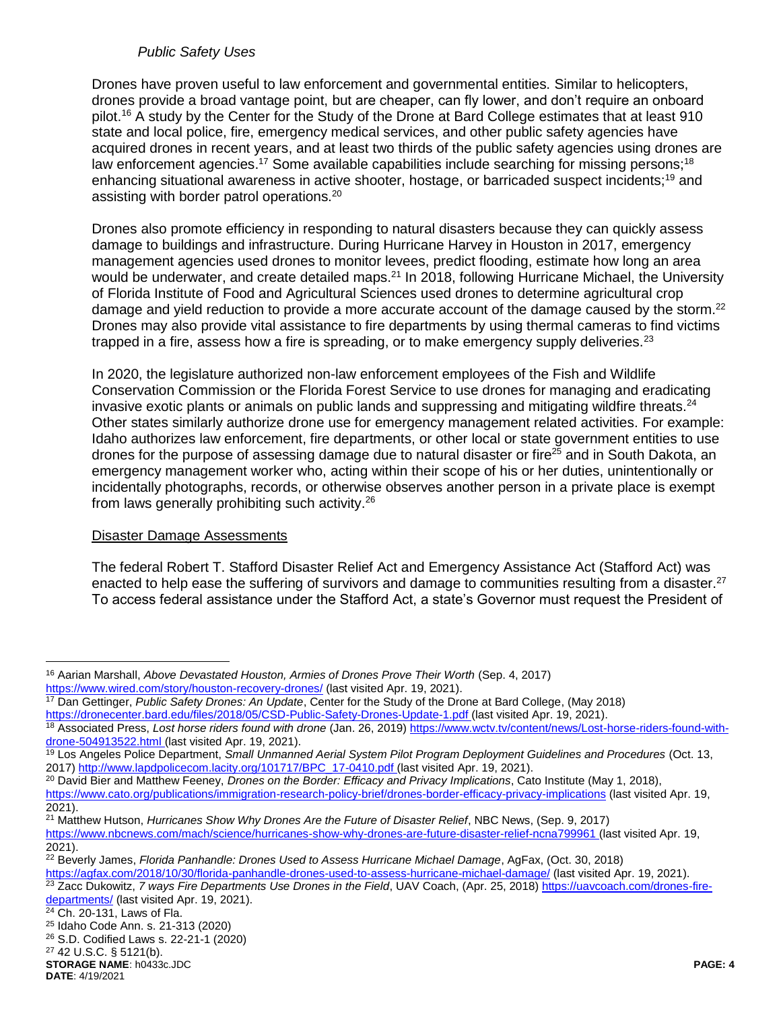#### *Public Safety Uses*

Drones have proven useful to law enforcement and governmental entities. Similar to helicopters, drones provide a broad vantage point, but are cheaper, can fly lower, and don't require an onboard pilot.<sup>16</sup> A study by the Center for the Study of the Drone at Bard College estimates that at least 910 state and local police, fire, emergency medical services, and other public safety agencies have acquired drones in recent years, and at least two thirds of the public safety agencies using drones are law enforcement agencies.<sup>17</sup> Some available capabilities include searching for missing persons;<sup>18</sup> enhancing situational awareness in active shooter, hostage, or barricaded suspect incidents;<sup>19</sup> and assisting with border patrol operations.<sup>20</sup>

Drones also promote efficiency in responding to natural disasters because they can quickly assess damage to buildings and infrastructure. During Hurricane Harvey in Houston in 2017, emergency management agencies used drones to monitor levees, predict flooding, estimate how long an area would be underwater, and create detailed maps.<sup>21</sup> In 2018, following Hurricane Michael, the University of Florida Institute of Food and Agricultural Sciences used drones to determine agricultural crop damage and yield reduction to provide a more accurate account of the damage caused by the storm.<sup>22</sup> Drones may also provide vital assistance to fire departments by using thermal cameras to find victims trapped in a fire, assess how a fire is spreading, or to make emergency supply deliveries. $^{23}$ 

In 2020, the legislature authorized non-law enforcement employees of the Fish and Wildlife Conservation Commission or the Florida Forest Service to use drones for managing and eradicating invasive exotic plants or animals on public lands and suppressing and mitigating wildfire threats.<sup>24</sup> Other states similarly authorize drone use for emergency management related activities. For example: Idaho authorizes law enforcement, fire departments, or other local or state government entities to use drones for the purpose of assessing damage due to natural disaster or fire<sup>25</sup> and in South Dakota, an emergency management worker who, acting within their scope of his or her duties, unintentionally or incidentally photographs, records, or otherwise observes another person in a private place is exempt from laws generally prohibiting such activity.<sup>26</sup>

#### Disaster Damage Assessments

The federal Robert T. Stafford Disaster Relief Act and Emergency Assistance Act (Stafford Act) was enacted to help ease the suffering of survivors and damage to communities resulting from a disaster.<sup>27</sup> To access federal assistance under the Stafford Act, a state's Governor must request the President of

<sup>20</sup> David Bier and Matthew Feeney, *Drones on the Border: Efficacy and Privacy Implications*, Cato Institute (May 1, 2018),

 $\overline{a}$ 

<sup>16</sup> Aarian Marshall, *Above Devastated Houston, Armies of Drones Prove Their Worth* (Sep. 4, 2017) <https://www.wired.com/story/houston-recovery-drones/> (last visited Apr. 19, 2021).

<sup>17</sup> Dan Gettinger, *Public Safety Drones: An Update*, Center for the Study of the Drone at Bard College, (May 2018)

<https://dronecenter.bard.edu/files/2018/05/CSD-Public-Safety-Drones-Update-1.pdf> (last visited Apr. 19, 2021).

<sup>18</sup> Associated Press, *Lost horse riders found with drone* (Jan. 26, 2019) [https://www.wctv.tv/content/news/Lost-horse-riders-found-with](https://www.wctv.tv/content/news/Lost-horse-riders-found-with-drone-504913522.html)[drone-504913522.html](https://www.wctv.tv/content/news/Lost-horse-riders-found-with-drone-504913522.html) (last visited Apr. 19, 2021).

<sup>19</sup> Los Angeles Police Department, *Small Unmanned Aerial System Pilot Program Deployment Guidelines and Procedures* (Oct. 13, 2017[\) http://www.lapdpolicecom.lacity.org/101717/BPC\\_17-0410.pdf](http://www.lapdpolicecom.lacity.org/101717/BPC_17-0410.pdf) (last visited Apr. 19, 2021).

<https://www.cato.org/publications/immigration-research-policy-brief/drones-border-efficacy-privacy-implications> (last visited Apr. 19, 2021).

<sup>21</sup> Matthew Hutson, *Hurricanes Show Why Drones Are the Future of Disaster Relief*, NBC News, (Sep. 9, 2017) <https://www.nbcnews.com/mach/science/hurricanes-show-why-drones-are-future-disaster-relief-ncna799961> (last visited Apr. 19, 2021).

<sup>22</sup> Beverly James, *Florida Panhandle: Drones Used to Assess Hurricane Michael Damage*, AgFax, (Oct. 30, 2018) <https://agfax.com/2018/10/30/florida-panhandle-drones-used-to-assess-hurricane-michael-damage/> (last visited Apr. 19, 2021).

<sup>&</sup>lt;sup>23</sup> Zacc Dukowitz, 7 ways Fire Departments Use Drones in the Field, UAV Coach, (Apr. 25, 2018) [https://uavcoach.com/drones-fire-](https://uavcoach.com/drones-fire-departments/)

[departments/](https://uavcoach.com/drones-fire-departments/) (last visited Apr. 19, 2021).

<sup>&</sup>lt;sup>24</sup> Ch. 20-131, Laws of Fla.

<sup>25</sup> Idaho Code Ann. s. 21-313 (2020) <sup>26</sup> S.D. Codified Laws s. 22-21-1 (2020)

**STORAGE NAME**: h0433c.JDC **PAGE: 4** <sup>27</sup> 42 U.S.C. § 5121(b).

**DATE**: 4/19/2021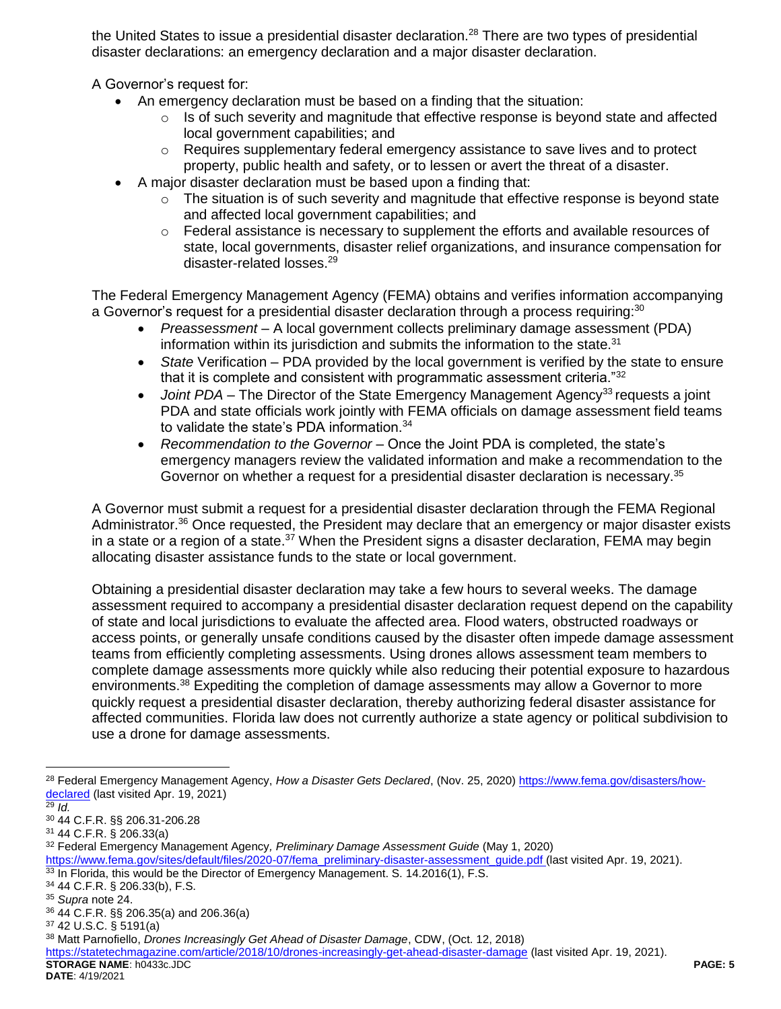the United States to issue a presidential disaster declaration.<sup>28</sup> There are two types of presidential disaster declarations: an emergency declaration and a major disaster declaration.

A Governor's request for:

- An emergency declaration must be based on a finding that the situation:
	- Is of such severity and magnitude that effective response is beyond state and affected local government capabilities; and
	- $\circ$  Requires supplementary federal emergency assistance to save lives and to protect property, public health and safety, or to lessen or avert the threat of a disaster.
- A major disaster declaration must be based upon a finding that:
	- o The situation is of such severity and magnitude that effective response is beyond state and affected local government capabilities; and
	- $\circ$  Federal assistance is necessary to supplement the efforts and available resources of state, local governments, disaster relief organizations, and insurance compensation for disaster-related losses.<sup>29</sup>

The Federal Emergency Management Agency (FEMA) obtains and verifies information accompanying a Governor's request for a presidential disaster declaration through a process requiring:<sup>30</sup>

- *Preassessment* A local government collects preliminary damage assessment (PDA) information within its jurisdiction and submits the information to the state.<sup>31</sup>
- *State* Verification PDA provided by the local government is verified by the state to ensure that it is complete and consistent with programmatic assessment criteria."<sup>32</sup>
- *Joint PDA* The Director of the State Emergency Management Agency<sup>33</sup> requests a joint PDA and state officials work jointly with FEMA officials on damage assessment field teams to validate the state's PDA information.<sup>34</sup>
- *Recommendation to the Governor* Once the Joint PDA is completed, the state's emergency managers review the validated information and make a recommendation to the Governor on whether a request for a presidential disaster declaration is necessary.<sup>35</sup>

A Governor must submit a request for a presidential disaster declaration through the FEMA Regional Administrator.<sup>36</sup> Once requested, the President may declare that an emergency or major disaster exists in a state or a region of a state.<sup>37</sup> When the President signs a disaster declaration, FEMA may begin allocating disaster assistance funds to the state or local government.

Obtaining a presidential disaster declaration may take a few hours to several weeks. The damage assessment required to accompany a presidential disaster declaration request depend on the capability of state and local jurisdictions to evaluate the affected area. Flood waters, obstructed roadways or access points, or generally unsafe conditions caused by the disaster often impede damage assessment teams from efficiently completing assessments. Using drones allows assessment team members to complete damage assessments more quickly while also reducing their potential exposure to hazardous environments.<sup>38</sup> Expediting the completion of damage assessments may allow a Governor to more quickly request a presidential disaster declaration, thereby authorizing federal disaster assistance for affected communities. Florida law does not currently authorize a state agency or political subdivision to use a drone for damage assessments.

 $\overline{a}$ 

<sup>34</sup> 44 C.F.R. § 206.33(b), F.S.

<sup>28</sup> Federal Emergency Management Agency, *How a Disaster Gets Declared*, (Nov. 25, 2020) [https://www.fema.gov/disasters/how](https://www.fema.gov/disasters/how-declared)[declared](https://www.fema.gov/disasters/how-declared) (last visited Apr. 19, 2021)

 $\frac{29}{29}$  *Id.* 

<sup>30</sup> 44 C.F.R. §§ 206.31-206.28

<sup>31</sup> 44 C.F.R. § 206.33(a)

<sup>32</sup> Federal Emergency Management Agency*, Preliminary Damage Assessment Guide* (May 1, 2020)

[https://www.fema.gov/sites/default/files/2020-07/fema\\_preliminary-disaster-assessment\\_guide.pdf](https://www.fema.gov/sites/default/files/2020-07/fema_preliminary-disaster-assessment_guide.pdf) (last visited Apr. 19, 2021).

<sup>33</sup> In Florida, this would be the Director of Emergency Management. S. 14.2016(1), F.S.

<sup>35</sup> *Supra* note 24.

<sup>36</sup> 44 C.F.R. §§ 206.35(a) and 206.36(a)

<sup>37</sup> 42 U.S.C. § 5191(a)

<sup>38</sup> Matt Parnofiello, *Drones Increasingly Get Ahead of Disaster Damage*, CDW, (Oct. 12, 2018)

**STORAGE NAME**: h0433c.JDC **PAGE: 5** <https://statetechmagazine.com/article/2018/10/drones-increasingly-get-ahead-disaster-damage> (last visited Apr. 19, 2021).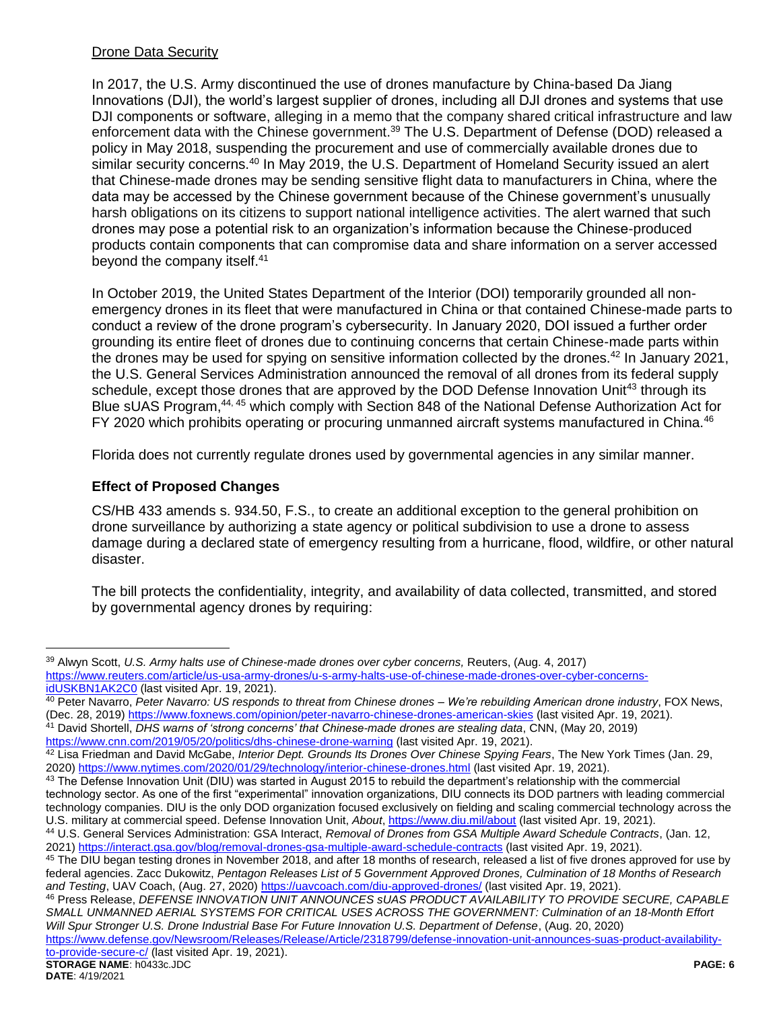### Drone Data Security

In 2017, the U.S. Army discontinued the use of drones manufacture by China-based Da Jiang Innovations (DJI), the world's largest supplier of drones, including all DJI drones and systems that use DJI components or software, alleging in a memo that the company shared critical infrastructure and law enforcement data with the Chinese government.<sup>39</sup> The U.S. Department of Defense (DOD) released a policy in May 2018, suspending the procurement and use of commercially available drones due to similar security concerns.<sup>40</sup> In May 2019, the U.S. Department of Homeland Security issued an alert that Chinese-made drones may be sending sensitive flight data to manufacturers in China, where the data may be accessed by the Chinese government because of the Chinese government's unusually harsh obligations on its citizens to support national intelligence activities. The alert warned that such drones may pose a potential risk to an organization's information because the Chinese-produced products contain components that can compromise data and share information on a server accessed beyond the company itself.<sup>41</sup>

In October 2019, the United States Department of the Interior (DOI) temporarily grounded all nonemergency drones in its fleet that were manufactured in China or that contained Chinese-made parts to conduct a review of the drone program's cybersecurity. In January 2020, DOI issued a further order grounding its entire fleet of drones due to continuing concerns that certain Chinese-made parts within the drones may be used for spying on sensitive information collected by the drones.<sup>42</sup> In January 2021, the U.S. General Services Administration announced the removal of all drones from its federal supply schedule, except those drones that are approved by the DOD Defense Innovation Unit<sup>43</sup> through its Blue sUAS Program,<sup>44, 45</sup> which comply with Section 848 of the National Defense Authorization Act for FY 2020 which prohibits operating or procuring unmanned aircraft systems manufactured in China.<sup>46</sup>

Florida does not currently regulate drones used by governmental agencies in any similar manner.

### **Effect of Proposed Changes**

CS/HB 433 amends s. 934.50, F.S., to create an additional exception to the general prohibition on drone surveillance by authorizing a state agency or political subdivision to use a drone to assess damage during a declared state of emergency resulting from a hurricane, flood, wildfire, or other natural disaster.

The bill protects the confidentiality, integrity, and availability of data collected, transmitted, and stored by governmental agency drones by requiring:

<sup>45</sup> The DIU began testing drones in November 2018, and after 18 months of research, released a list of five drones approved for use by federal agencies. Zacc Dukowitz, *Pentagon Releases List of 5 Government Approved Drones, Culmination of 18 Months of Research and Testing*, UAV Coach, (Aug. 27, 2020[\) https://uavcoach.com/diu-approved-drones/](https://uavcoach.com/diu-approved-drones/) (last visited Apr. 19, 2021).

<sup>46</sup> Press Release, *DEFENSE INNOVATION UNIT ANNOUNCES sUAS PRODUCT AVAILABILITY TO PROVIDE SECURE, CAPABLE SMALL UNMANNED AERIAL SYSTEMS FOR CRITICAL USES ACROSS THE GOVERNMENT: Culmination of an 18-Month Effort Will Spur Stronger U.S. Drone Industrial Base For Future Innovation U.S. Department of Defense*, (Aug. 20, 2020)

 $\overline{a}$ 

<sup>39</sup> Alwyn Scott, *U.S. Army halts use of Chinese-made drones over cyber concerns,* Reuters, (Aug. 4, 2017) [https://www.reuters.com/article/us-usa-army-drones/u-s-army-halts-use-of-chinese-made-drones-over-cyber-concerns](https://www.reuters.com/article/us-usa-army-drones/u-s-army-halts-use-of-chinese-made-drones-over-cyber-concerns-idUSKBN1AK2C0)[idUSKBN1AK2C0](https://www.reuters.com/article/us-usa-army-drones/u-s-army-halts-use-of-chinese-made-drones-over-cyber-concerns-idUSKBN1AK2C0) (last visited Apr. 19, 2021).

<sup>40</sup> Peter Navarro, *Peter Navarro: US responds to threat from Chinese drones – We're rebuilding American drone industry*, FOX News, (Dec. 28, 2019) <https://www.foxnews.com/opinion/peter-navarro-chinese-drones-american-skies> (last visited Apr. 19, 2021). <sup>41</sup> David Shortell, *DHS warns of 'strong concerns' that Chinese-made drones are stealing data*, CNN, (May 20, 2019)

<https://www.cnn.com/2019/05/20/politics/dhs-chinese-drone-warning> (last visited Apr. 19, 2021).

<sup>42</sup> Lisa Friedman and David McGabe, *Interior Dept. Grounds Its Drones Over Chinese Spying Fears*, The New York Times (Jan. 29, 2020[\) https://www.nytimes.com/2020/01/29/technology/interior-chinese-drones.html](https://www.nytimes.com/2020/01/29/technology/interior-chinese-drones.html) (last visited Apr. 19, 2021).

<sup>&</sup>lt;sup>43</sup> The Defense Innovation Unit (DIU) was started in August 2015 to rebuild the department's relationship with the commercial technology sector. As one of the first "experimental" innovation organizations, DIU connects its DOD partners with leading commercial technology companies. DIU is the only DOD organization focused exclusively on fielding and scaling commercial technology across the U.S. military at commercial speed. Defense Innovation Unit, *About*[, https://www.diu.mil/about](https://www.diu.mil/about) (last visited Apr. 19, 2021).

<sup>44</sup> U.S. General Services Administration: GSA Interact, *Removal of Drones from GSA Multiple Award Schedule Contracts*, (Jan. 12, 2021[\) https://interact.gsa.gov/blog/removal-drones-gsa-multiple-award-schedule-contracts](https://interact.gsa.gov/blog/removal-drones-gsa-multiple-award-schedule-contracts) (last visited Apr. 19, 2021).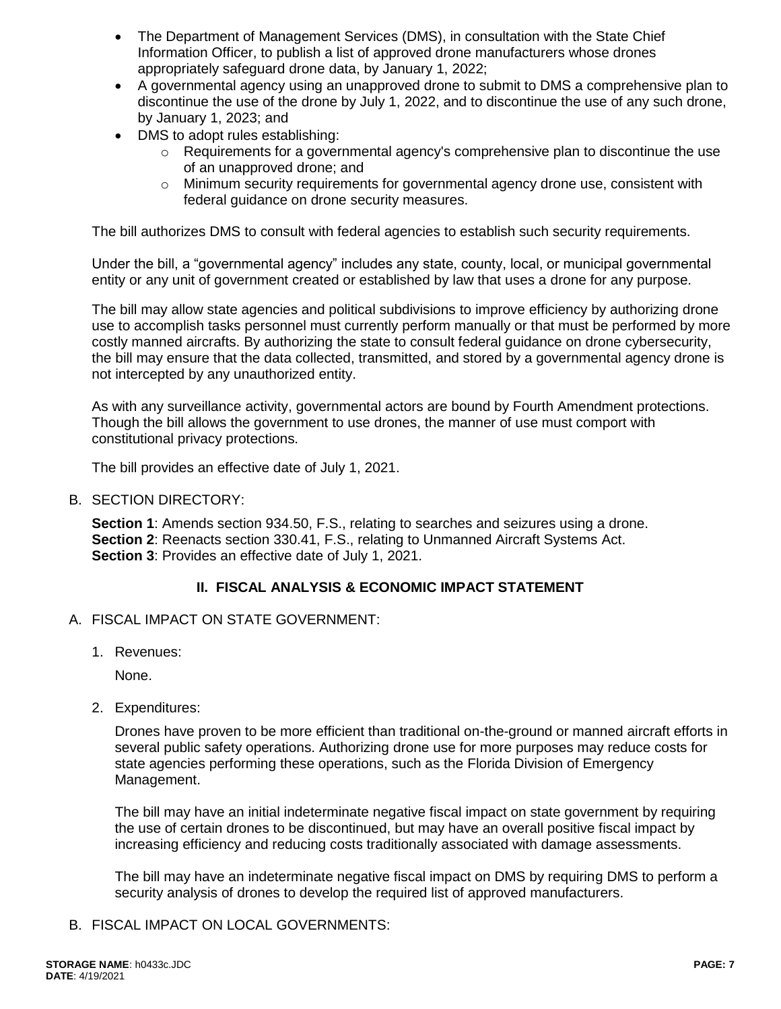- The Department of Management Services (DMS), in consultation with the State Chief Information Officer, to publish a list of approved drone manufacturers whose drones appropriately safeguard drone data, by January 1, 2022;
- A governmental agency using an unapproved drone to submit to DMS a comprehensive plan to discontinue the use of the drone by July 1, 2022, and to discontinue the use of any such drone, by January 1, 2023; and
- DMS to adopt rules establishing:
	- $\circ$  Requirements for a governmental agency's comprehensive plan to discontinue the use of an unapproved drone; and
	- $\circ$  Minimum security requirements for governmental agency drone use, consistent with federal guidance on drone security measures.

The bill authorizes DMS to consult with federal agencies to establish such security requirements.

Under the bill, a "governmental agency" includes any state, county, local, or municipal governmental entity or any unit of government created or established by law that uses a drone for any purpose.

The bill may allow state agencies and political subdivisions to improve efficiency by authorizing drone use to accomplish tasks personnel must currently perform manually or that must be performed by more costly manned aircrafts. By authorizing the state to consult federal guidance on drone cybersecurity, the bill may ensure that the data collected, transmitted, and stored by a governmental agency drone is not intercepted by any unauthorized entity.

As with any surveillance activity, governmental actors are bound by Fourth Amendment protections. Though the bill allows the government to use drones, the manner of use must comport with constitutional privacy protections.

The bill provides an effective date of July 1, 2021.

B. SECTION DIRECTORY:

**Section 1**: Amends section 934.50, F.S., relating to searches and seizures using a drone. **Section 2**: Reenacts section 330.41, F.S., relating to Unmanned Aircraft Systems Act. **Section 3**: Provides an effective date of July 1, 2021.

#### **II. FISCAL ANALYSIS & ECONOMIC IMPACT STATEMENT**

- A. FISCAL IMPACT ON STATE GOVERNMENT:
	- 1. Revenues:

None.

2. Expenditures:

Drones have proven to be more efficient than traditional on-the-ground or manned aircraft efforts in several public safety operations. Authorizing drone use for more purposes may reduce costs for state agencies performing these operations, such as the Florida Division of Emergency Management.

The bill may have an initial indeterminate negative fiscal impact on state government by requiring the use of certain drones to be discontinued, but may have an overall positive fiscal impact by increasing efficiency and reducing costs traditionally associated with damage assessments.

The bill may have an indeterminate negative fiscal impact on DMS by requiring DMS to perform a security analysis of drones to develop the required list of approved manufacturers.

B. FISCAL IMPACT ON LOCAL GOVERNMENTS: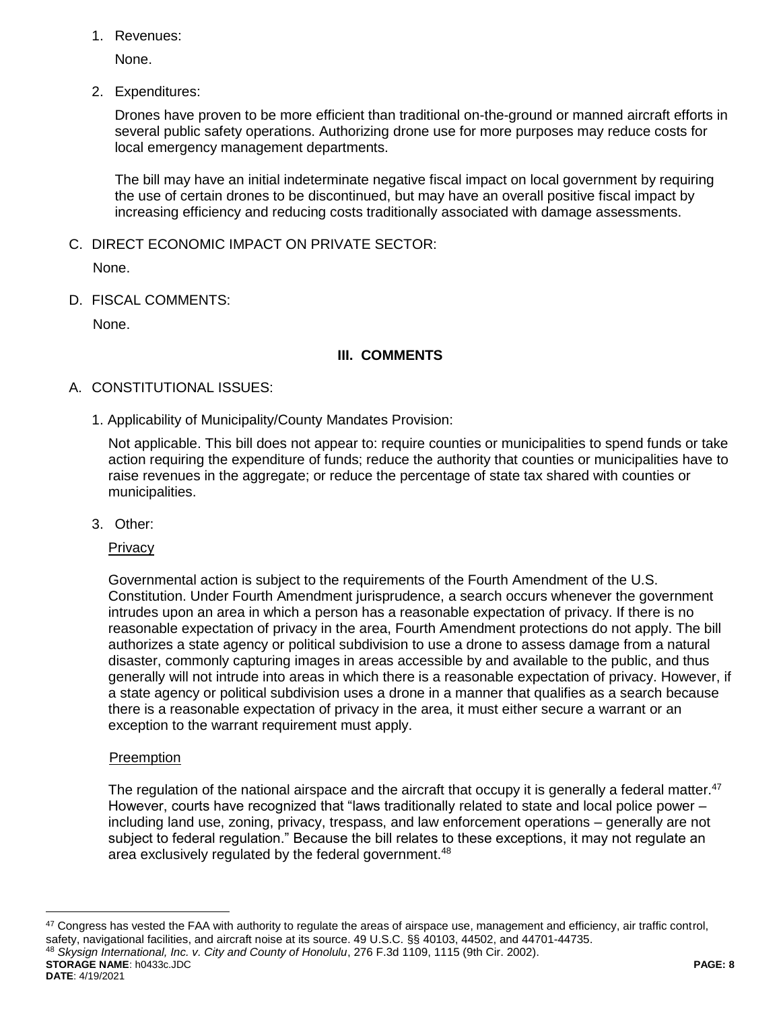1. Revenues:

None.

2. Expenditures:

Drones have proven to be more efficient than traditional on-the-ground or manned aircraft efforts in several public safety operations. Authorizing drone use for more purposes may reduce costs for local emergency management departments.

The bill may have an initial indeterminate negative fiscal impact on local government by requiring the use of certain drones to be discontinued, but may have an overall positive fiscal impact by increasing efficiency and reducing costs traditionally associated with damage assessments.

C. DIRECT ECONOMIC IMPACT ON PRIVATE SECTOR:

None.

D. FISCAL COMMENTS:

None.

# **III. COMMENTS**

# A. CONSTITUTIONAL ISSUES:

1. Applicability of Municipality/County Mandates Provision:

Not applicable. This bill does not appear to: require counties or municipalities to spend funds or take action requiring the expenditure of funds; reduce the authority that counties or municipalities have to raise revenues in the aggregate; or reduce the percentage of state tax shared with counties or municipalities.

3. Other:

## **Privacy**

Governmental action is subject to the requirements of the Fourth Amendment of the U.S. Constitution. Under Fourth Amendment jurisprudence, a search occurs whenever the government intrudes upon an area in which a person has a reasonable expectation of privacy. If there is no reasonable expectation of privacy in the area, Fourth Amendment protections do not apply. The bill authorizes a state agency or political subdivision to use a drone to assess damage from a natural disaster, commonly capturing images in areas accessible by and available to the public, and thus generally will not intrude into areas in which there is a reasonable expectation of privacy. However, if a state agency or political subdivision uses a drone in a manner that qualifies as a search because there is a reasonable expectation of privacy in the area, it must either secure a warrant or an exception to the warrant requirement must apply.

## **Preemption**

 $\overline{a}$ 

The regulation of the national airspace and the aircraft that occupy it is generally a federal matter.<sup>47</sup> However, courts have recognized that "laws traditionally related to state and local police power – including land use, zoning, privacy, trespass, and law enforcement operations – generally are not subject to federal regulation." Because the bill relates to these exceptions, it may not regulate an area exclusively regulated by the federal government.<sup>48</sup>

**STORAGE NAME**: h0433c.JDC **PAGE: 8 DATE**: 4/19/2021 <sup>47</sup> Congress has vested the FAA with authority to regulate the areas of airspace use, management and efficiency, air traffic control, safety, navigational facilities, and aircraft noise at its source. 49 U.S.C. §§ 40103, 44502, and 44701-44735. <sup>48</sup> *Skysign International, Inc. v. City and County of Honolulu*, 276 F.3d 1109, 1115 (9th Cir. 2002).